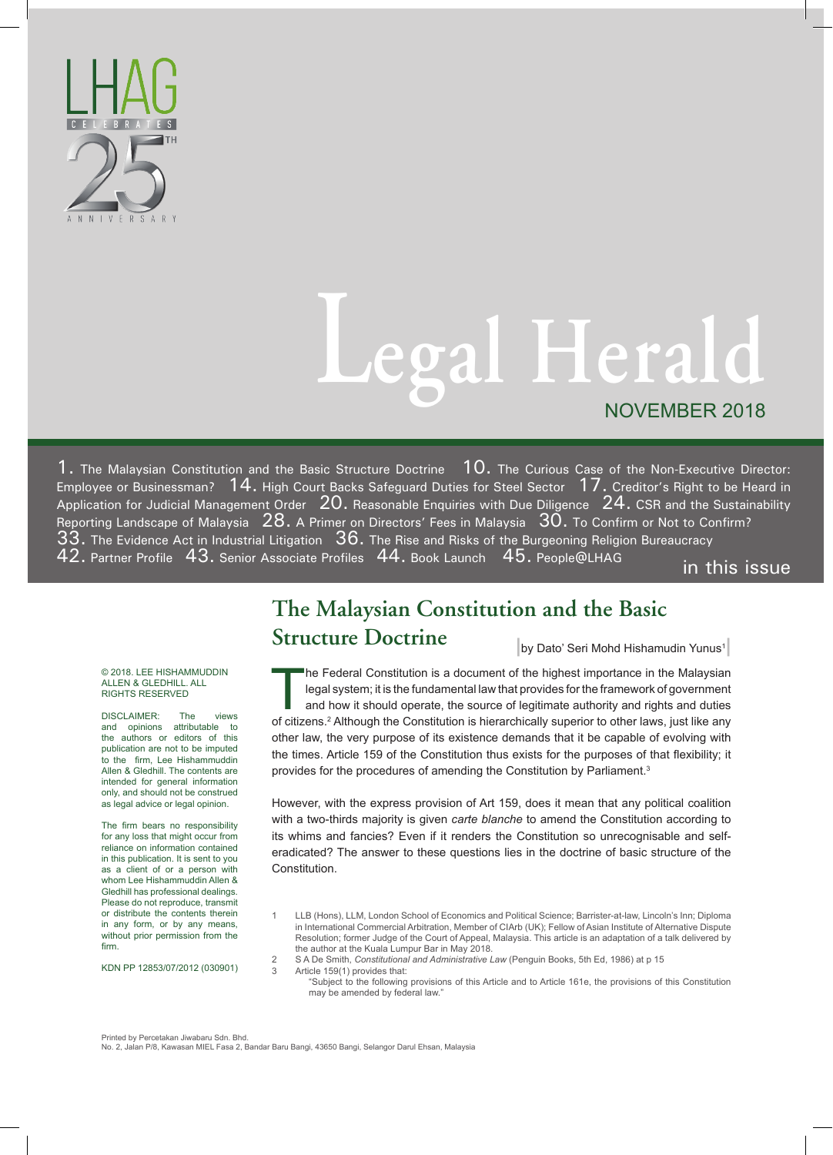

# **Legal Herald** NOVEMBER 2018

1. The Malaysian Constitution and the Basic Structure Doctrine 10. The Curious Case of the Non-Executive Director: Employee or Businessman?  $\,$   $14.$  High Court Backs Safeguard Duties for Steel Sector  $\,$   $17.$  Creditor's Right to be Heard in Application for Judicial Management Order  $\,20.$  Reasonable Enquiries with Due Diligence  $\,24.$  CSR and the Sustainability Reporting Landscape of Malaysia  $28$ . A Primer on Directors' Fees in Malaysia  $30$ . To Confirm or Not to Confirm? 33. The Evidence Act in Industrial Litigation 36. The Rise and Risks of the Burgeoning Religion Bureaucracy 42. Partner Profile 43. Senior Associate Profiles 44. Book Launch 45. People@LHAG in this issue

# **The Malaysian Constitution and the Basic Structure Doctrine** by Dato' Seri Mohd Hishamudin Yunus<sup>1</sup>

#### © 2018. LEE HISHAMMUDDIN ALLEN & GLEDHILL. ALL RIGHTS RESERVED

DISCLAIMER: The views and opinions attributable to the authors or editors of this publication are not to be imputed to the firm, Lee Hishammuddin Allen & Gledhill. The contents are intended for general information only, and should not be construed as legal advice or legal opinion.

The firm bears no responsibility for any loss that might occur from reliance on information contained in this publication. It is sent to you as a client of or a person with whom Lee Hishammuddin Allen & Gledhill has professional dealings. Please do not reproduce, transmit or distribute the contents therein in any form, or by any means, without prior permission from the firm.

KDN PP 12853/07/2012 (030901)

The Federal Constitution is a document of the highest importance in the Malaysian legal system; it is the fundamental law that provides for the framework of government and how it should operate, the source of legitimate au legal system; it is the fundamental law that provides for the framework of government and how it should operate, the source of legitimate authority and rights and duties of citizens.<sup>2</sup> Although the Constitution is hierarchically superior to other laws, just like any other law, the very purpose of its existence demands that it be capable of evolving with the times. Article 159 of the Constitution thus exists for the purposes of that flexibility; it provides for the procedures of amending the Constitution by Parliament.<sup>3</sup>

However, with the express provision of Art 159, does it mean that any political coalition with a two-thirds majority is given *carte blanche* to amend the Constitution according to its whims and fancies? Even if it renders the Constitution so unrecognisable and selferadicated? The answer to these questions lies in the doctrine of basic structure of the Constitution.

- 1 LLB (Hons), LLM, London School of Economics and Political Science; Barrister-at-law, Lincoln's Inn; Diploma in International Commercial Arbitration, Member of CIArb (UK); Fellow of Asian Institute of Alternative Dispute Resolution; former Judge of the Court of Appeal, Malaysia. This article is an adaptation of a talk delivered by the author at the Kuala Lumpur Bar in May 2018.
- 2 S A De Smith, *Constitutional and Administrative Law* (Penguin Books, 5th Ed, 1986) at p 15 Article  $159(1)$  provides that:
	- "Subject to the following provisions of this Article and to Article 161e, the provisions of this Constitution may be amended by federal law."

Printed by Percetakan Jiwabaru Sdn. Bhd. No. 2, Jalan P/8, Kawasan MIEL Fasa 2, Bandar Baru Bangi, 43650 Bangi, Selangor Darul Ehsan, Malaysia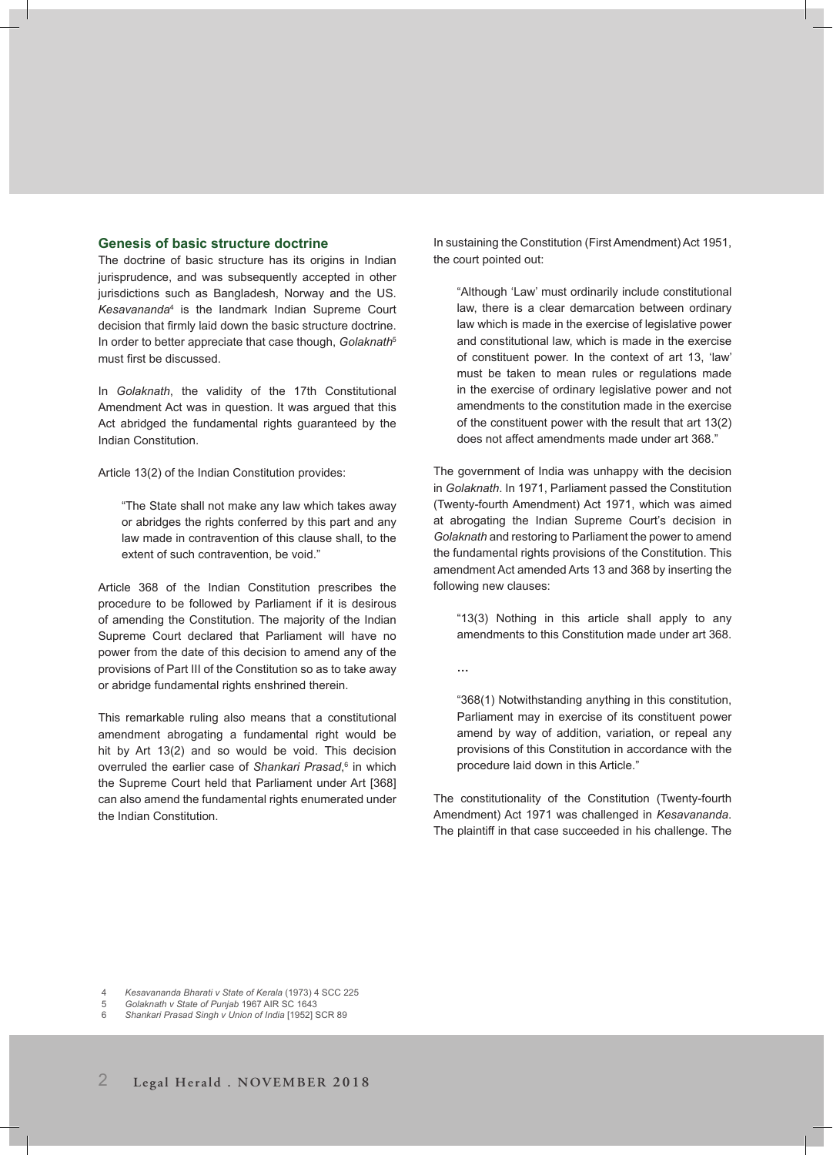# **Genesis of basic structure doctrine**

The doctrine of basic structure has its origins in Indian jurisprudence, and was subsequently accepted in other jurisdictions such as Bangladesh, Norway and the US. *Kesavananda*<sup>4</sup> is the landmark Indian Supreme Court decision that firmly laid down the basic structure doctrine. In order to better appreciate that case though, *Golaknath*<sup>5</sup> must first be discussed.

In *Golaknath*, the validity of the 17th Constitutional Amendment Act was in question. It was argued that this Act abridged the fundamental rights guaranteed by the Indian Constitution.

Article 13(2) of the Indian Constitution provides:

"The State shall not make any law which takes away or abridges the rights conferred by this part and any law made in contravention of this clause shall, to the extent of such contravention, be void."

Article 368 of the Indian Constitution prescribes the procedure to be followed by Parliament if it is desirous of amending the Constitution. The majority of the Indian Supreme Court declared that Parliament will have no power from the date of this decision to amend any of the provisions of Part III of the Constitution so as to take away or abridge fundamental rights enshrined therein.

This remarkable ruling also means that a constitutional amendment abrogating a fundamental right would be hit by Art 13(2) and so would be void. This decision overruled the earlier case of *Shankari Prasad*, 6 in which the Supreme Court held that Parliament under Art [368] can also amend the fundamental rights enumerated under the Indian Constitution.

In sustaining the Constitution (First Amendment) Act 1951, the court pointed out:

"Although 'Law' must ordinarily include constitutional law, there is a clear demarcation between ordinary law which is made in the exercise of legislative power and constitutional law, which is made in the exercise of constituent power. In the context of art 13, 'law' must be taken to mean rules or regulations made in the exercise of ordinary legislative power and not amendments to the constitution made in the exercise of the constituent power with the result that art 13(2) does not affect amendments made under art 368."

The government of India was unhappy with the decision in *Golaknath*. In 1971, Parliament passed the Constitution (Twenty-fourth Amendment) Act 1971, which was aimed at abrogating the Indian Supreme Court's decision in *Golaknath* and restoring to Parliament the power to amend the fundamental rights provisions of the Constitution. This amendment Act amended Arts 13 and 368 by inserting the following new clauses:

"13(3) Nothing in this article shall apply to any amendments to this Constitution made under art 368.

**…**

"368(1) Notwithstanding anything in this constitution, Parliament may in exercise of its constituent power amend by way of addition, variation, or repeal any provisions of this Constitution in accordance with the procedure laid down in this Article."

The constitutionality of the Constitution (Twenty-fourth Amendment) Act 1971 was challenged in *Kesavananda*. The plaintiff in that case succeeded in his challenge. The

4 *Kesavananda Bharati v State of Kerala* (1973) 4 SCC 225

5 *Golaknath v State of Punjab* 1967 AIR SC 1643 6 *Shankari Prasad Singh v Union of India* [1952] SCR 89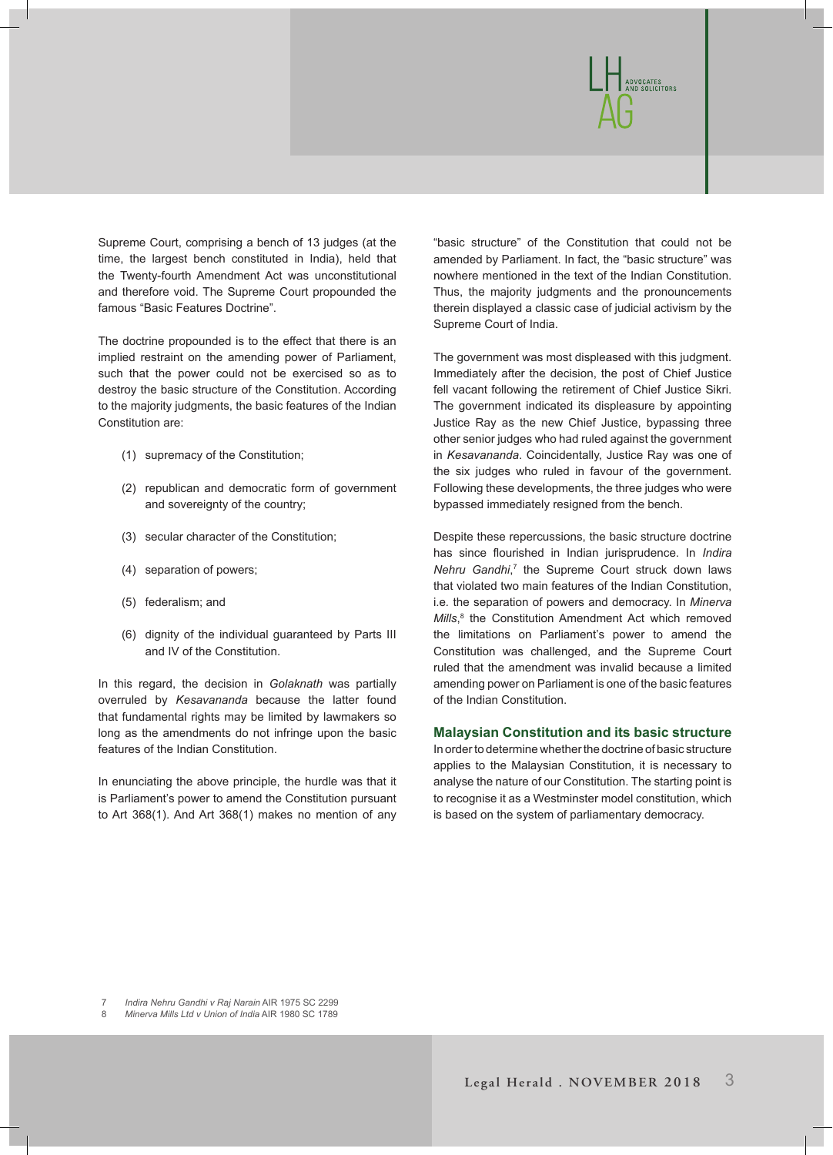

Supreme Court, comprising a bench of 13 judges (at the time, the largest bench constituted in India), held that the Twenty-fourth Amendment Act was unconstitutional and therefore void. The Supreme Court propounded the famous "Basic Features Doctrine".

The doctrine propounded is to the effect that there is an implied restraint on the amending power of Parliament, such that the power could not be exercised so as to destroy the basic structure of the Constitution. According to the majority judgments, the basic features of the Indian Constitution are:

- (1) supremacy of the Constitution;
- (2) republican and democratic form of government and sovereignty of the country;
- (3) secular character of the Constitution;
- (4) separation of powers;
- (5) federalism; and
- (6) dignity of the individual guaranteed by Parts III and IV of the Constitution.

In this regard, the decision in *Golaknath* was partially overruled by *Kesavananda* because the latter found that fundamental rights may be limited by lawmakers so long as the amendments do not infringe upon the basic features of the Indian Constitution.

In enunciating the above principle, the hurdle was that it is Parliament's power to amend the Constitution pursuant to Art 368(1). And Art 368(1) makes no mention of any "basic structure" of the Constitution that could not be amended by Parliament. In fact, the "basic structure" was nowhere mentioned in the text of the Indian Constitution. Thus, the majority judgments and the pronouncements therein displayed a classic case of judicial activism by the Supreme Court of India.

The government was most displeased with this judgment. Immediately after the decision, the post of Chief Justice fell vacant following the retirement of Chief Justice Sikri. The government indicated its displeasure by appointing Justice Ray as the new Chief Justice, bypassing three other senior judges who had ruled against the government in *Kesavananda*. Coincidentally, Justice Ray was one of the six judges who ruled in favour of the government. Following these developments, the three judges who were bypassed immediately resigned from the bench.

Despite these repercussions, the basic structure doctrine has since flourished in Indian jurisprudence. In *Indira*  Nehru Gandhi,<sup>7</sup> the Supreme Court struck down laws that violated two main features of the Indian Constitution, i.e*.* the separation of powers and democracy. In *Minerva Mills*, 8 the Constitution Amendment Act which removed the limitations on Parliament's power to amend the Constitution was challenged, and the Supreme Court ruled that the amendment was invalid because a limited amending power on Parliament is one of the basic features of the Indian Constitution.

# **Malaysian Constitution and its basic structure**

In order to determine whether the doctrine of basic structure applies to the Malaysian Constitution, it is necessary to analyse the nature of our Constitution. The starting point is to recognise it as a Westminster model constitution, which is based on the system of parliamentary democracy.

7 *Indira Nehru Gandhi v Raj Narain* AIR 1975 SC 2299

8 *Minerva Mills Ltd v Union of India* AIR 1980 SC 1789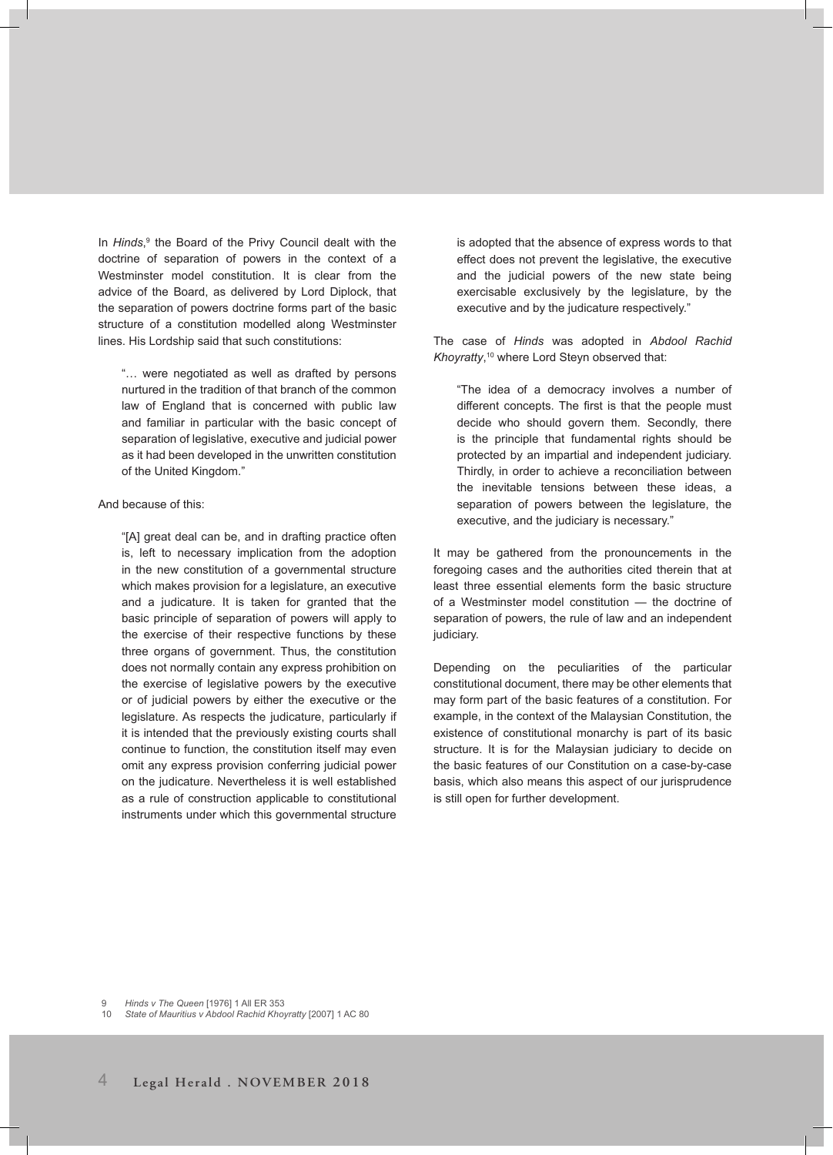In *Hinds*, 9 the Board of the Privy Council dealt with the doctrine of separation of powers in the context of a Westminster model constitution. It is clear from the advice of the Board, as delivered by Lord Diplock, that the separation of powers doctrine forms part of the basic structure of a constitution modelled along Westminster lines. His Lordship said that such constitutions:

"… were negotiated as well as drafted by persons nurtured in the tradition of that branch of the common law of England that is concerned with public law and familiar in particular with the basic concept of separation of legislative, executive and judicial power as it had been developed in the unwritten constitution of the United Kingdom."

And because of this:

"[A] great deal can be, and in drafting practice often is, left to necessary implication from the adoption in the new constitution of a governmental structure which makes provision for a legislature, an executive and a judicature. It is taken for granted that the basic principle of separation of powers will apply to the exercise of their respective functions by these three organs of government. Thus, the constitution does not normally contain any express prohibition on the exercise of legislative powers by the executive or of judicial powers by either the executive or the legislature. As respects the judicature, particularly if it is intended that the previously existing courts shall continue to function, the constitution itself may even omit any express provision conferring judicial power on the judicature. Nevertheless it is well established as a rule of construction applicable to constitutional instruments under which this governmental structure

is adopted that the absence of express words to that effect does not prevent the legislative, the executive and the judicial powers of the new state being exercisable exclusively by the legislature, by the executive and by the judicature respectively."

The case of *Hinds* was adopted in *Abdool Rachid Khoyratty*, <sup>10</sup> where Lord Steyn observed that:

"The idea of a democracy involves a number of different concepts. The first is that the people must decide who should govern them. Secondly, there is the principle that fundamental rights should be protected by an impartial and independent judiciary. Thirdly, in order to achieve a reconciliation between the inevitable tensions between these ideas, a separation of powers between the legislature, the executive, and the judiciary is necessary."

It may be gathered from the pronouncements in the foregoing cases and the authorities cited therein that at least three essential elements form the basic structure of a Westminster model constitution — the doctrine of separation of powers, the rule of law and an independent judiciary.

Depending on the peculiarities of the particular constitutional document, there may be other elements that may form part of the basic features of a constitution. For example, in the context of the Malaysian Constitution, the existence of constitutional monarchy is part of its basic structure. It is for the Malaysian judiciary to decide on the basic features of our Constitution on a case-by-case basis, which also means this aspect of our jurisprudence is still open for further development.

9 *Hinds v The Queen* [1976] 1 All ER 353

10 *State of Mauritius v Abdool Rachid Khoyratty* [2007] 1 AC 80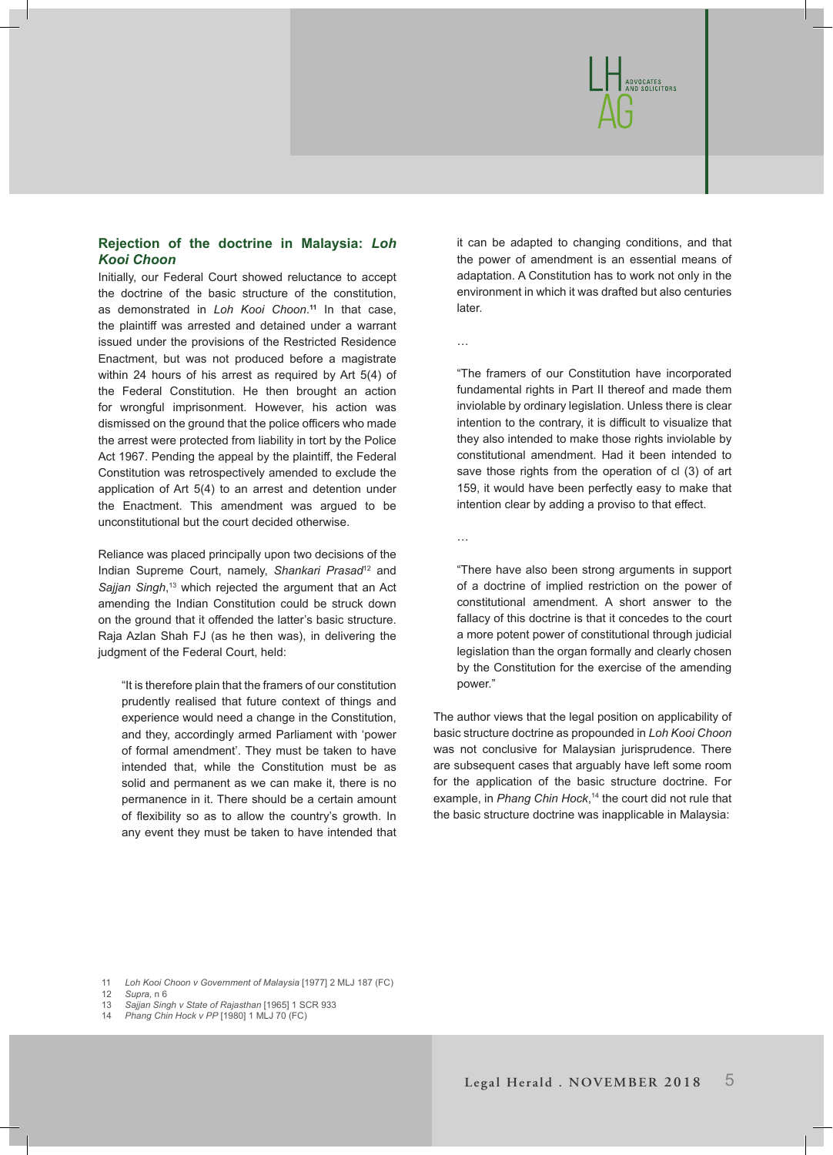

# **Rejection of the doctrine in Malaysia:** *Loh Kooi Choon*

Initially, our Federal Court showed reluctance to accept the doctrine of the basic structure of the constitution, as demonstrated in *Loh Kooi Choon*. **<sup>11</sup>** In that case, the plaintiff was arrested and detained under a warrant issued under the provisions of the Restricted Residence Enactment, but was not produced before a magistrate within 24 hours of his arrest as required by Art 5(4) of the Federal Constitution. He then brought an action for wrongful imprisonment. However, his action was dismissed on the ground that the police officers who made the arrest were protected from liability in tort by the Police Act 1967. Pending the appeal by the plaintiff, the Federal Constitution was retrospectively amended to exclude the application of Art 5(4) to an arrest and detention under the Enactment. This amendment was argued to be unconstitutional but the court decided otherwise.

Reliance was placed principally upon two decisions of the Indian Supreme Court, namely, *Shankari Prasad*12 and *Sajjan Singh*, 13 which rejected the argument that an Act amending the Indian Constitution could be struck down on the ground that it offended the latter's basic structure. Raja Azlan Shah FJ (as he then was), in delivering the judgment of the Federal Court, held:

"It is therefore plain that the framers of our constitution prudently realised that future context of things and experience would need a change in the Constitution, and they, accordingly armed Parliament with 'power of formal amendment'. They must be taken to have intended that, while the Constitution must be as solid and permanent as we can make it, there is no permanence in it. There should be a certain amount of flexibility so as to allow the country's growth. In any event they must be taken to have intended that

it can be adapted to changing conditions, and that the power of amendment is an essential means of adaptation. A Constitution has to work not only in the environment in which it was drafted but also centuries later.

…

"The framers of our Constitution have incorporated fundamental rights in Part II thereof and made them inviolable by ordinary legislation. Unless there is clear intention to the contrary, it is difficult to visualize that they also intended to make those rights inviolable by constitutional amendment. Had it been intended to save those rights from the operation of cl (3) of art 159, it would have been perfectly easy to make that intention clear by adding a proviso to that effect.

…

"There have also been strong arguments in support of a doctrine of implied restriction on the power of constitutional amendment. A short answer to the fallacy of this doctrine is that it concedes to the court a more potent power of constitutional through judicial legislation than the organ formally and clearly chosen by the Constitution for the exercise of the amending power."

The author views that the legal position on applicability of basic structure doctrine as propounded in *Loh Kooi Choon* was not conclusive for Malaysian jurisprudence. There are subsequent cases that arguably have left some room for the application of the basic structure doctrine. For example, in *Phang Chin Hock*, 14 the court did not rule that the basic structure doctrine was inapplicable in Malaysia:

11 *Loh Kooi Choon v Government of Malaysia* [1977] 2 MLJ 187 (FC)

12 *Supra,* n 6

13 *Sajjan Singh v State of Rajasthan* [1965] 1 SCR 933

14 *Phang Chin Hock v PP* [1980] 1 MLJ 70 (FC)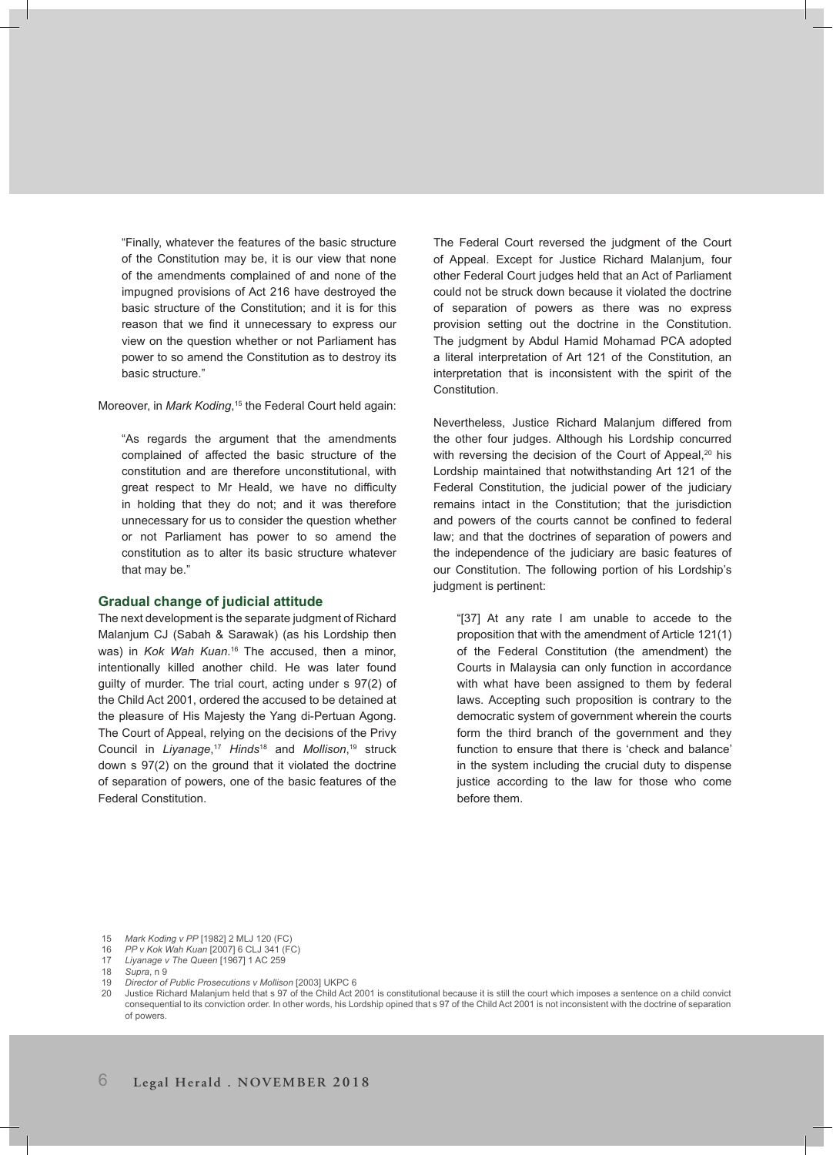"Finally, whatever the features of the basic structure of the Constitution may be, it is our view that none of the amendments complained of and none of the impugned provisions of Act 216 have destroyed the basic structure of the Constitution; and it is for this reason that we find it unnecessary to express our view on the question whether or not Parliament has power to so amend the Constitution as to destroy its basic structure."

Moreover, in *Mark Koding*, 15 the Federal Court held again:

"As regards the argument that the amendments complained of affected the basic structure of the constitution and are therefore unconstitutional, with great respect to Mr Heald, we have no difficulty in holding that they do not; and it was therefore unnecessary for us to consider the question whether or not Parliament has power to so amend the constitution as to alter its basic structure whatever that may be."

# **Gradual change of judicial attitude**

The next development is the separate judgment of Richard Malanjum CJ (Sabah & Sarawak) (as his Lordship then was) in *Kok Wah Kuan*. 16 The accused, then a minor, intentionally killed another child. He was later found guilty of murder. The trial court, acting under s 97(2) of the Child Act 2001, ordered the accused to be detained at the pleasure of His Majesty the Yang di-Pertuan Agong. The Court of Appeal, relying on the decisions of the Privy Council in *Liyanage*, <sup>17</sup> *Hinds*18 and *Mollison*, 19 struck down s 97(2) on the ground that it violated the doctrine of separation of powers, one of the basic features of the Federal Constitution.

The Federal Court reversed the judgment of the Court of Appeal. Except for Justice Richard Malanjum, four other Federal Court judges held that an Act of Parliament could not be struck down because it violated the doctrine of separation of powers as there was no express provision setting out the doctrine in the Constitution. The judgment by Abdul Hamid Mohamad PCA adopted a literal interpretation of Art 121 of the Constitution, an interpretation that is inconsistent with the spirit of the Constitution.

Nevertheless, Justice Richard Malanjum differed from the other four judges. Although his Lordship concurred with reversing the decision of the Court of Appeal,<sup>20</sup> his Lordship maintained that notwithstanding Art 121 of the Federal Constitution, the judicial power of the judiciary remains intact in the Constitution; that the jurisdiction and powers of the courts cannot be confined to federal law; and that the doctrines of separation of powers and the independence of the judiciary are basic features of our Constitution. The following portion of his Lordship's judgment is pertinent:

"[37] At any rate I am unable to accede to the proposition that with the amendment of Article 121(1) of the Federal Constitution (the amendment) the Courts in Malaysia can only function in accordance with what have been assigned to them by federal laws. Accepting such proposition is contrary to the democratic system of government wherein the courts form the third branch of the government and they function to ensure that there is 'check and balance' in the system including the crucial duty to dispense justice according to the law for those who come before them.

19 *Director of Public Prosecutions v Mollison* [2003] UKPC 6

<sup>15</sup> *Mark Koding v PP* [1982] 2 MLJ 120 (FC)

<sup>16</sup> *PP v Kok Wah Kuan* [2007] 6 CLJ 341 (FC)

<sup>17</sup> *Liyanage v The Queen* [1967] 1 AC 259

<sup>18</sup> *Supra*, n 9

<sup>20</sup> Justice Richard Malanjum held that s 97 of the Child Act 2001 is constitutional because it is still the court which imposes a sentence on a child convict consequential to its conviction order. In other words, his Lordship opined that s 97 of the Child Act 2001 is not inconsistent with the doctrine of separation of powers.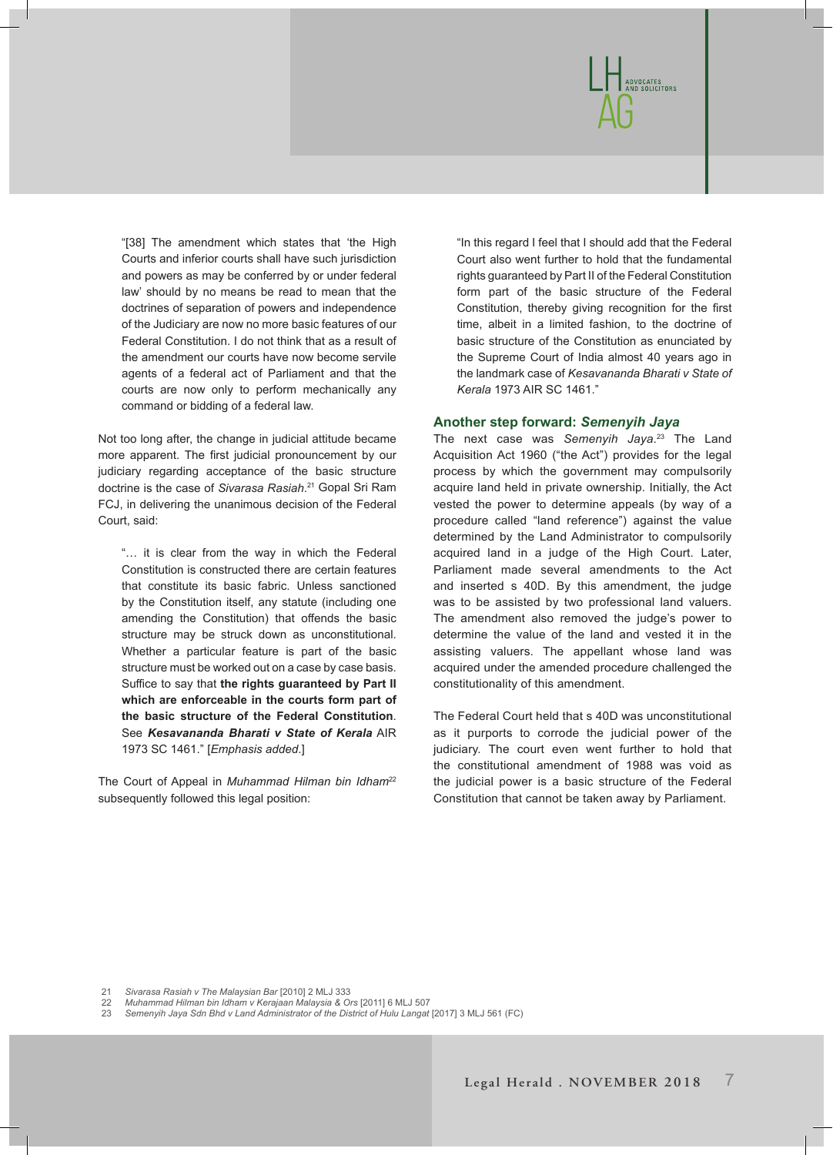

"[38] The amendment which states that 'the High Courts and inferior courts shall have such jurisdiction and powers as may be conferred by or under federal law' should by no means be read to mean that the doctrines of separation of powers and independence of the Judiciary are now no more basic features of our Federal Constitution. I do not think that as a result of the amendment our courts have now become servile agents of a federal act of Parliament and that the courts are now only to perform mechanically any command or bidding of a federal law.

Not too long after, the change in judicial attitude became more apparent. The first judicial pronouncement by our judiciary regarding acceptance of the basic structure doctrine is the case of *Sivarasa Rasiah*. 21 Gopal Sri Ram FCJ, in delivering the unanimous decision of the Federal Court, said:

"… it is clear from the way in which the Federal Constitution is constructed there are certain features that constitute its basic fabric. Unless sanctioned by the Constitution itself, any statute (including one amending the Constitution) that offends the basic structure may be struck down as unconstitutional. Whether a particular feature is part of the basic structure must be worked out on a case by case basis. Suffice to say that **the rights guaranteed by Part II which are enforceable in the courts form part of the basic structure of the Federal Constitution**. See *Kesavananda Bharati v State of Kerala* AIR 1973 SC 1461." [*Emphasis added*.]

The Court of Appeal in *Muhammad Hilman bin Idham*<sup>22</sup> subsequently followed this legal position:

"In this regard I feel that I should add that the Federal Court also went further to hold that the fundamental rights guaranteed by Part II of the Federal Constitution form part of the basic structure of the Federal Constitution, thereby giving recognition for the first time, albeit in a limited fashion, to the doctrine of basic structure of the Constitution as enunciated by the Supreme Court of India almost 40 years ago in the landmark case of *Kesavananda Bharati v State of Kerala* 1973 AIR SC 1461."

# **Another step forward:** *Semenyih Jaya*

The next case was *Semenyih Jaya*. 23 The Land Acquisition Act 1960 ("the Act") provides for the legal process by which the government may compulsorily acquire land held in private ownership. Initially, the Act vested the power to determine appeals (by way of a procedure called "land reference") against the value determined by the Land Administrator to compulsorily acquired land in a judge of the High Court. Later, Parliament made several amendments to the Act and inserted s 40D. By this amendment, the judge was to be assisted by two professional land valuers. The amendment also removed the judge's power to determine the value of the land and vested it in the assisting valuers. The appellant whose land was acquired under the amended procedure challenged the constitutionality of this amendment.

The Federal Court held that s 40D was unconstitutional as it purports to corrode the judicial power of the judiciary. The court even went further to hold that the constitutional amendment of 1988 was void as the judicial power is a basic structure of the Federal Constitution that cannot be taken away by Parliament.

21 *Sivarasa Rasiah v The Malaysian Bar* [2010] 2 MLJ 333

22 *Muhammad Hilman bin Idham v Kerajaan Malaysia & Ors* [2011] 6 MLJ 507

23 *Semenyih Jaya Sdn Bhd v Land Administrator of the District of Hulu Langat* [2017] 3 MLJ 561 (FC)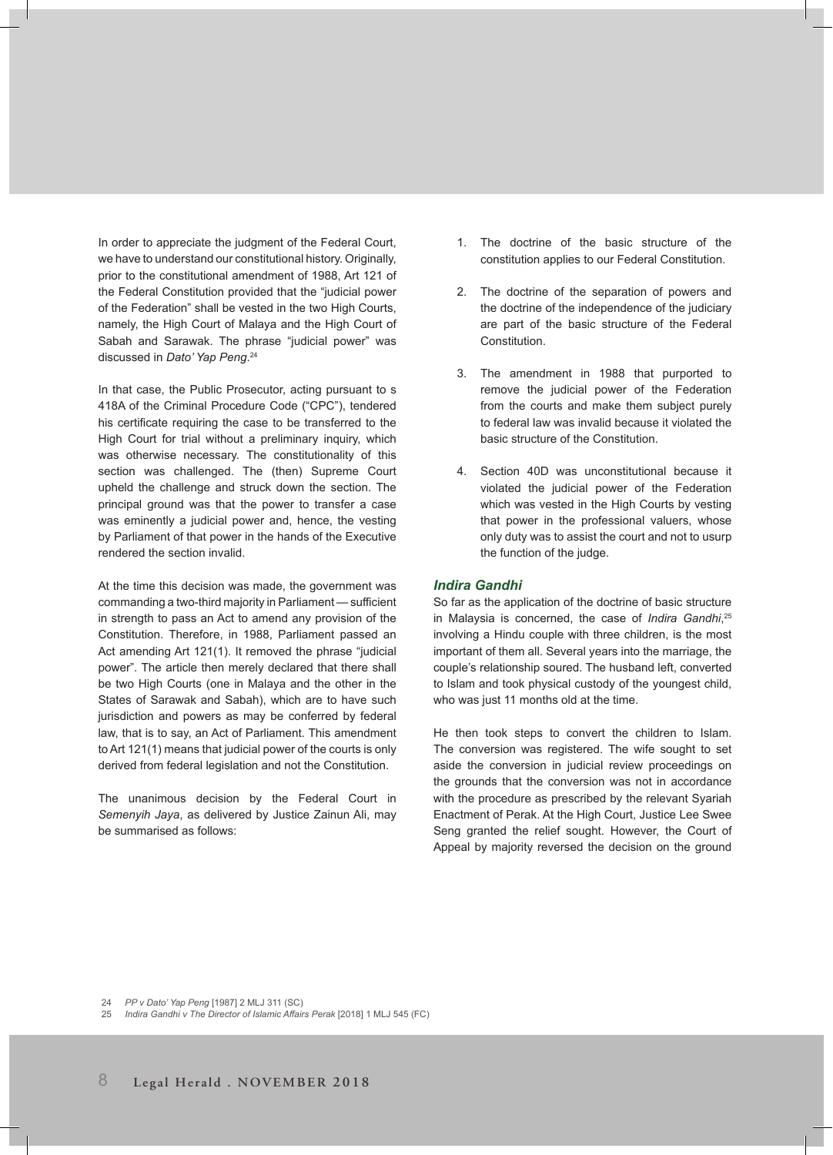In order to appreciate the judgment of the Federal Court, we have to understand our constitutional history. Originally, prior to the constitutional amendment of 1988, Art 121 of the Federal Constitution provided that the "judicial power of the Federation" shall be vested in the two High Courts, namely, the High Court of Malaya and the High Court of Sabah and Sarawak. The phrase "judicial power" was discussed in *Dato' Yap Peng*. 24

In that case, the Public Prosecutor, acting pursuant to s 418A of the Criminal Procedure Code ("CPC"), tendered his certificate requiring the case to be transferred to the High Court for trial without a preliminary inquiry, which was otherwise necessary. The constitutionality of this section was challenged. The (then) Supreme Court upheld the challenge and struck down the section. The principal ground was that the power to transfer a case was eminently a judicial power and, hence, the vesting by Parliament of that power in the hands of the Executive rendered the section invalid.

At the time this decision was made, the government was commanding a two-third majority in Parliament — sufficient in strength to pass an Act to amend any provision of the Constitution. Therefore, in 1988, Parliament passed an Act amending Art 121(1). It removed the phrase "judicial power". The article then merely declared that there shall be two High Courts (one in Malaya and the other in the States of Sarawak and Sabah), which are to have such jurisdiction and powers as may be conferred by federal law, that is to say, an Act of Parliament. This amendment to Art 121(1) means that judicial power of the courts is only derived from federal legislation and not the Constitution.

The unanimous decision by the Federal Court in *Semenyih Jaya*, as delivered by Justice Zainun Ali, may be summarised as follows:

- 1. The doctrine of the basic structure of the constitution applies to our Federal Constitution.
- 2. The doctrine of the separation of powers and the doctrine of the independence of the judiciary are part of the basic structure of the Federal **Constitution**
- 3. The amendment in 1988 that purported to remove the judicial power of the Federation from the courts and make them subject purely to federal law was invalid because it violated the basic structure of the Constitution.
- 4. Section 40D was unconstitutional because it violated the judicial power of the Federation which was vested in the High Courts by vesting that power in the professional valuers, whose only duty was to assist the court and not to usurp the function of the judge.

# *Indira Gandhi*

So far as the application of the doctrine of basic structure in Malaysia is concerned, the case of *Indira Gandhi*, 25 involving a Hindu couple with three children, is the most important of them all. Several years into the marriage, the couple's relationship soured. The husband left, converted to Islam and took physical custody of the youngest child, who was just 11 months old at the time.

He then took steps to convert the children to Islam. The conversion was registered. The wife sought to set aside the conversion in judicial review proceedings on the grounds that the conversion was not in accordance with the procedure as prescribed by the relevant Syariah Enactment of Perak. At the High Court, Justice Lee Swee Seng granted the relief sought. However, the Court of Appeal by majority reversed the decision on the ground

24 *PP v Dato' Yap Peng* [1987] 2 MLJ 311 (SC)

25 *Indira Gandhi v The Director of Islamic Affairs Perak* [2018] 1 MLJ 545 (FC)